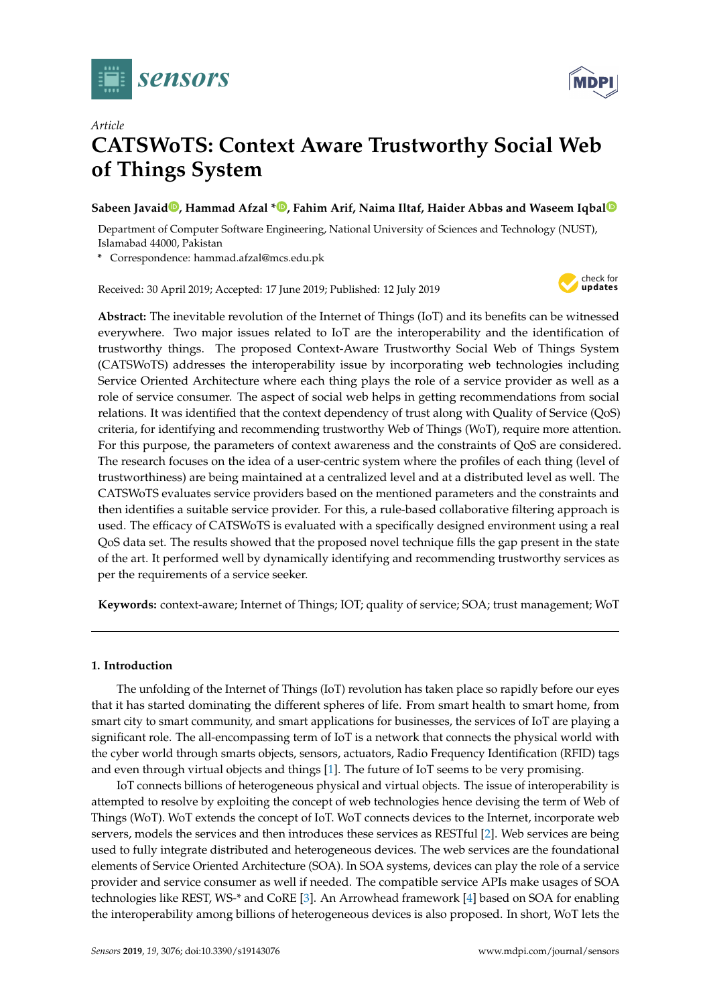



# *Article* **CATSWoTS: Context Aware Trustworthy Social Web of Things System**

# **Sabeen Javai[d](https://orcid.org/0000-0003-4832-9641) , Hammad Afzal \* [,](https://orcid.org/0000-0001-9583-5585) Fahim Arif, Naima Iltaf, Haider Abbas and Waseem Iqba[l](https://orcid.org/0000-0002-3616-2621)**

Department of Computer Software Engineering, National University of Sciences and Technology (NUST), Islamabad 44000, Pakistan

**\*** Correspondence: hammad.afzal@mcs.edu.pk

Received: 30 April 2019; Accepted: 17 June 2019; Published: 12 July 2019



**Abstract:** The inevitable revolution of the Internet of Things (IoT) and its benefits can be witnessed everywhere. Two major issues related to IoT are the interoperability and the identification of trustworthy things. The proposed Context-Aware Trustworthy Social Web of Things System (CATSWoTS) addresses the interoperability issue by incorporating web technologies including Service Oriented Architecture where each thing plays the role of a service provider as well as a role of service consumer. The aspect of social web helps in getting recommendations from social relations. It was identified that the context dependency of trust along with Quality of Service (QoS) criteria, for identifying and recommending trustworthy Web of Things (WoT), require more attention. For this purpose, the parameters of context awareness and the constraints of QoS are considered. The research focuses on the idea of a user-centric system where the profiles of each thing (level of trustworthiness) are being maintained at a centralized level and at a distributed level as well. The CATSWoTS evaluates service providers based on the mentioned parameters and the constraints and then identifies a suitable service provider. For this, a rule-based collaborative filtering approach is used. The efficacy of CATSWoTS is evaluated with a specifically designed environment using a real QoS data set. The results showed that the proposed novel technique fills the gap present in the state of the art. It performed well by dynamically identifying and recommending trustworthy services as per the requirements of a service seeker.

**Keywords:** context-aware; Internet of Things; IOT; quality of service; SOA; trust management; WoT

# **1. Introduction**

The unfolding of the Internet of Things (IoT) revolution has taken place so rapidly before our eyes that it has started dominating the different spheres of life. From smart health to smart home, from smart city to smart community, and smart applications for businesses, the services of IoT are playing a significant role. The all-encompassing term of IoT is a network that connects the physical world with the cyber world through smarts objects, sensors, actuators, Radio Frequency Identification (RFID) tags and even through virtual objects and things [\[1\]](#page-18-0). The future of IoT seems to be very promising.

IoT connects billions of heterogeneous physical and virtual objects. The issue of interoperability is attempted to resolve by exploiting the concept of web technologies hence devising the term of Web of Things (WoT). WoT extends the concept of IoT. WoT connects devices to the Internet, incorporate web servers, models the services and then introduces these services as RESTful [\[2\]](#page-18-1). Web services are being used to fully integrate distributed and heterogeneous devices. The web services are the foundational elements of Service Oriented Architecture (SOA). In SOA systems, devices can play the role of a service provider and service consumer as well if needed. The compatible service APIs make usages of SOA technologies like REST, WS-\* and CoRE [\[3\]](#page-18-2). An Arrowhead framework [\[4\]](#page-19-0) based on SOA for enabling the interoperability among billions of heterogeneous devices is also proposed. In short, WoT lets the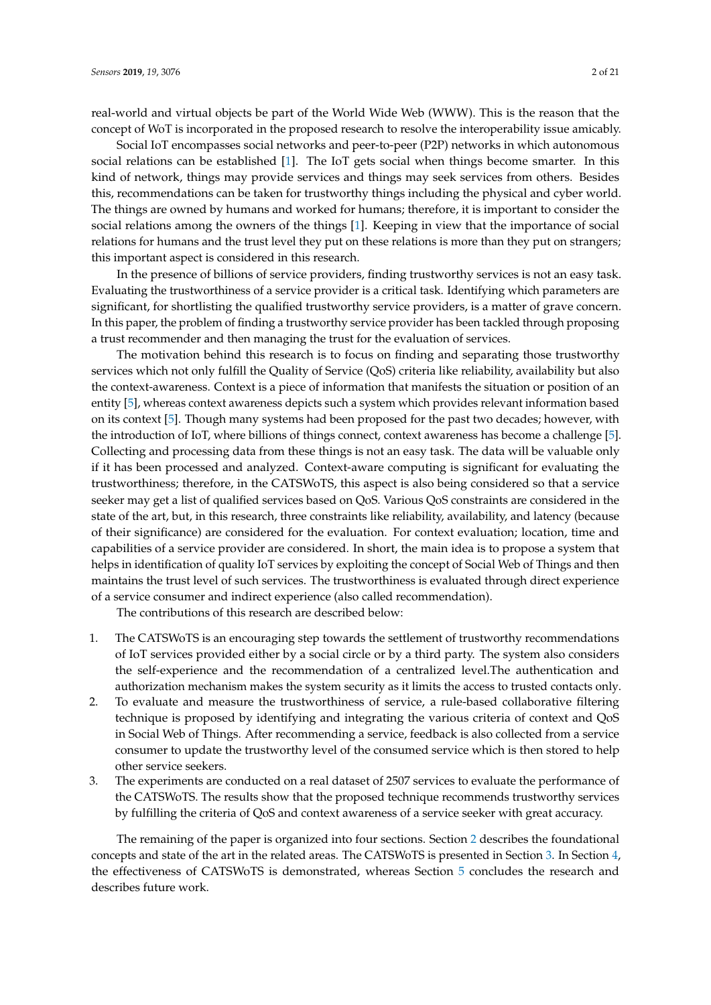real-world and virtual objects be part of the World Wide Web (WWW). This is the reason that the concept of WoT is incorporated in the proposed research to resolve the interoperability issue amicably.

Social IoT encompasses social networks and peer-to-peer (P2P) networks in which autonomous social relations can be established [\[1\]](#page-18-0). The IoT gets social when things become smarter. In this kind of network, things may provide services and things may seek services from others. Besides this, recommendations can be taken for trustworthy things including the physical and cyber world. The things are owned by humans and worked for humans; therefore, it is important to consider the social relations among the owners of the things [\[1\]](#page-18-0). Keeping in view that the importance of social relations for humans and the trust level they put on these relations is more than they put on strangers; this important aspect is considered in this research.

In the presence of billions of service providers, finding trustworthy services is not an easy task. Evaluating the trustworthiness of a service provider is a critical task. Identifying which parameters are significant, for shortlisting the qualified trustworthy service providers, is a matter of grave concern. In this paper, the problem of finding a trustworthy service provider has been tackled through proposing a trust recommender and then managing the trust for the evaluation of services.

The motivation behind this research is to focus on finding and separating those trustworthy services which not only fulfill the Quality of Service (QoS) criteria like reliability, availability but also the context-awareness. Context is a piece of information that manifests the situation or position of an entity [\[5\]](#page-19-1), whereas context awareness depicts such a system which provides relevant information based on its context [\[5\]](#page-19-1). Though many systems had been proposed for the past two decades; however, with the introduction of IoT, where billions of things connect, context awareness has become a challenge [\[5\]](#page-19-1). Collecting and processing data from these things is not an easy task. The data will be valuable only if it has been processed and analyzed. Context-aware computing is significant for evaluating the trustworthiness; therefore, in the CATSWoTS, this aspect is also being considered so that a service seeker may get a list of qualified services based on QoS. Various QoS constraints are considered in the state of the art, but, in this research, three constraints like reliability, availability, and latency (because of their significance) are considered for the evaluation. For context evaluation; location, time and capabilities of a service provider are considered. In short, the main idea is to propose a system that helps in identification of quality IoT services by exploiting the concept of Social Web of Things and then maintains the trust level of such services. The trustworthiness is evaluated through direct experience of a service consumer and indirect experience (also called recommendation).

The contributions of this research are described below:

- 1. The CATSWoTS is an encouraging step towards the settlement of trustworthy recommendations of IoT services provided either by a social circle or by a third party. The system also considers the self-experience and the recommendation of a centralized level.The authentication and authorization mechanism makes the system security as it limits the access to trusted contacts only.
- 2. To evaluate and measure the trustworthiness of service, a rule-based collaborative filtering technique is proposed by identifying and integrating the various criteria of context and QoS in Social Web of Things. After recommending a service, feedback is also collected from a service consumer to update the trustworthy level of the consumed service which is then stored to help other service seekers.
- 3. The experiments are conducted on a real dataset of 2507 services to evaluate the performance of the CATSWoTS. The results show that the proposed technique recommends trustworthy services by fulfilling the criteria of QoS and context awareness of a service seeker with great accuracy.

The remaining of the paper is organized into four sections. Section [2](#page-2-0) describes the foundational concepts and state of the art in the related areas. The CATSWoTS is presented in Section [3.](#page-5-0) In Section [4,](#page-12-0) the effectiveness of CATSWoTS is demonstrated, whereas Section [5](#page-18-3) concludes the research and describes future work.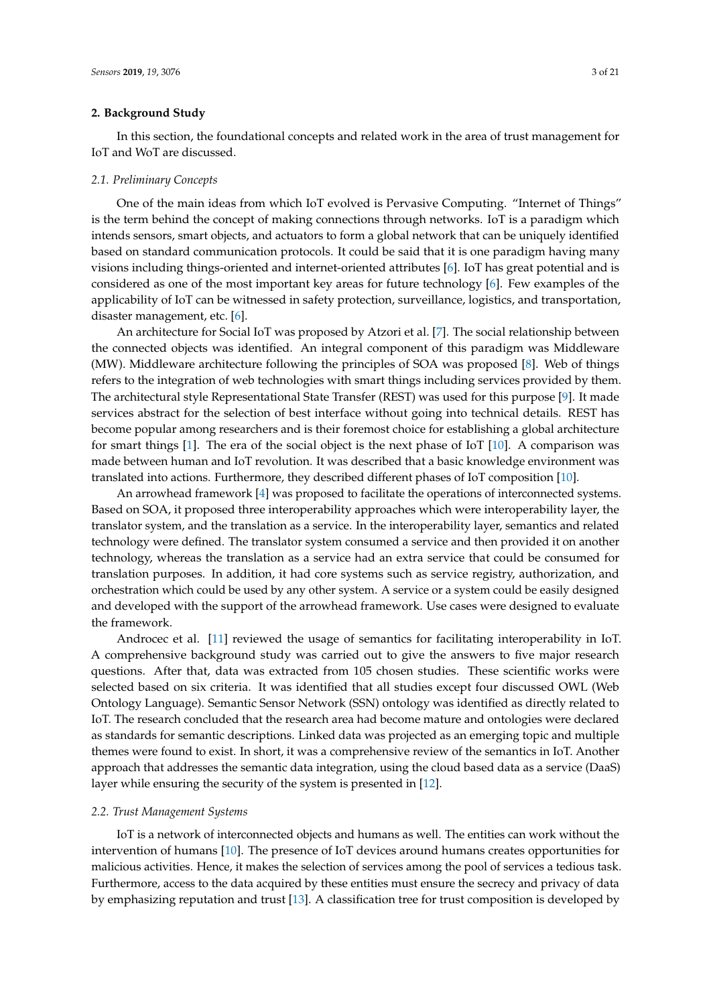#### <span id="page-2-0"></span>**2. Background Study**

In this section, the foundational concepts and related work in the area of trust management for IoT and WoT are discussed.

#### *2.1. Preliminary Concepts*

One of the main ideas from which IoT evolved is Pervasive Computing. "Internet of Things" is the term behind the concept of making connections through networks. IoT is a paradigm which intends sensors, smart objects, and actuators to form a global network that can be uniquely identified based on standard communication protocols. It could be said that it is one paradigm having many visions including things-oriented and internet-oriented attributes [\[6\]](#page-19-2). IoT has great potential and is considered as one of the most important key areas for future technology [\[6\]](#page-19-2). Few examples of the applicability of IoT can be witnessed in safety protection, surveillance, logistics, and transportation, disaster management, etc. [\[6\]](#page-19-2).

An architecture for Social IoT was proposed by Atzori et al. [\[7\]](#page-19-3). The social relationship between the connected objects was identified. An integral component of this paradigm was Middleware (MW). Middleware architecture following the principles of SOA was proposed [\[8\]](#page-19-4). Web of things refers to the integration of web technologies with smart things including services provided by them. The architectural style Representational State Transfer (REST) was used for this purpose [\[9\]](#page-19-5). It made services abstract for the selection of best interface without going into technical details. REST has become popular among researchers and is their foremost choice for establishing a global architecture for smart things [\[1\]](#page-18-0). The era of the social object is the next phase of IoT [\[10\]](#page-19-6). A comparison was made between human and IoT revolution. It was described that a basic knowledge environment was translated into actions. Furthermore, they described different phases of IoT composition [\[10\]](#page-19-6).

An arrowhead framework [\[4\]](#page-19-0) was proposed to facilitate the operations of interconnected systems. Based on SOA, it proposed three interoperability approaches which were interoperability layer, the translator system, and the translation as a service. In the interoperability layer, semantics and related technology were defined. The translator system consumed a service and then provided it on another technology, whereas the translation as a service had an extra service that could be consumed for translation purposes. In addition, it had core systems such as service registry, authorization, and orchestration which could be used by any other system. A service or a system could be easily designed and developed with the support of the arrowhead framework. Use cases were designed to evaluate the framework.

Androcec et al. [\[11\]](#page-19-7) reviewed the usage of semantics for facilitating interoperability in IoT. A comprehensive background study was carried out to give the answers to five major research questions. After that, data was extracted from 105 chosen studies. These scientific works were selected based on six criteria. It was identified that all studies except four discussed OWL (Web Ontology Language). Semantic Sensor Network (SSN) ontology was identified as directly related to IoT. The research concluded that the research area had become mature and ontologies were declared as standards for semantic descriptions. Linked data was projected as an emerging topic and multiple themes were found to exist. In short, it was a comprehensive review of the semantics in IoT. Another approach that addresses the semantic data integration, using the cloud based data as a service (DaaS) layer while ensuring the security of the system is presented in [\[12\]](#page-19-8).

#### *2.2. Trust Management Systems*

IoT is a network of interconnected objects and humans as well. The entities can work without the intervention of humans [\[10\]](#page-19-6). The presence of IoT devices around humans creates opportunities for malicious activities. Hence, it makes the selection of services among the pool of services a tedious task. Furthermore, access to the data acquired by these entities must ensure the secrecy and privacy of data by emphasizing reputation and trust [\[13\]](#page-19-9). A classification tree for trust composition is developed by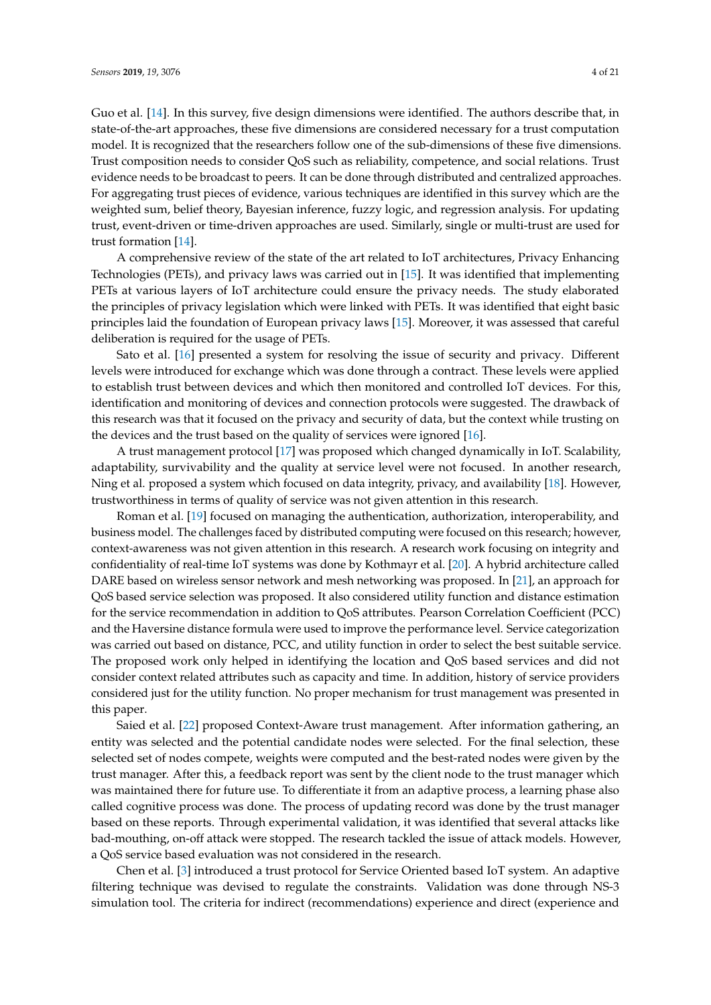Guo et al. [\[14\]](#page-19-10). In this survey, five design dimensions were identified. The authors describe that, in state-of-the-art approaches, these five dimensions are considered necessary for a trust computation model. It is recognized that the researchers follow one of the sub-dimensions of these five dimensions. Trust composition needs to consider QoS such as reliability, competence, and social relations. Trust evidence needs to be broadcast to peers. It can be done through distributed and centralized approaches. For aggregating trust pieces of evidence, various techniques are identified in this survey which are the weighted sum, belief theory, Bayesian inference, fuzzy logic, and regression analysis. For updating trust, event-driven or time-driven approaches are used. Similarly, single or multi-trust are used for trust formation [\[14\]](#page-19-10).

A comprehensive review of the state of the art related to IoT architectures, Privacy Enhancing Technologies (PETs), and privacy laws was carried out in [\[15\]](#page-19-11). It was identified that implementing PETs at various layers of IoT architecture could ensure the privacy needs. The study elaborated the principles of privacy legislation which were linked with PETs. It was identified that eight basic principles laid the foundation of European privacy laws [\[15\]](#page-19-11). Moreover, it was assessed that careful deliberation is required for the usage of PETs.

Sato et al. [\[16\]](#page-19-12) presented a system for resolving the issue of security and privacy. Different levels were introduced for exchange which was done through a contract. These levels were applied to establish trust between devices and which then monitored and controlled IoT devices. For this, identification and monitoring of devices and connection protocols were suggested. The drawback of this research was that it focused on the privacy and security of data, but the context while trusting on the devices and the trust based on the quality of services were ignored [\[16\]](#page-19-12).

A trust management protocol [\[17\]](#page-19-13) was proposed which changed dynamically in IoT. Scalability, adaptability, survivability and the quality at service level were not focused. In another research, Ning et al. proposed a system which focused on data integrity, privacy, and availability [\[18\]](#page-19-14). However, trustworthiness in terms of quality of service was not given attention in this research.

Roman et al. [\[19\]](#page-19-15) focused on managing the authentication, authorization, interoperability, and business model. The challenges faced by distributed computing were focused on this research; however, context-awareness was not given attention in this research. A research work focusing on integrity and confidentiality of real-time IoT systems was done by Kothmayr et al. [\[20\]](#page-19-16). A hybrid architecture called DARE based on wireless sensor network and mesh networking was proposed. In [\[21\]](#page-19-17), an approach for QoS based service selection was proposed. It also considered utility function and distance estimation for the service recommendation in addition to QoS attributes. Pearson Correlation Coefficient (PCC) and the Haversine distance formula were used to improve the performance level. Service categorization was carried out based on distance, PCC, and utility function in order to select the best suitable service. The proposed work only helped in identifying the location and QoS based services and did not consider context related attributes such as capacity and time. In addition, history of service providers considered just for the utility function. No proper mechanism for trust management was presented in this paper.

Saied et al. [\[22\]](#page-19-18) proposed Context-Aware trust management. After information gathering, an entity was selected and the potential candidate nodes were selected. For the final selection, these selected set of nodes compete, weights were computed and the best-rated nodes were given by the trust manager. After this, a feedback report was sent by the client node to the trust manager which was maintained there for future use. To differentiate it from an adaptive process, a learning phase also called cognitive process was done. The process of updating record was done by the trust manager based on these reports. Through experimental validation, it was identified that several attacks like bad-mouthing, on-off attack were stopped. The research tackled the issue of attack models. However, a QoS service based evaluation was not considered in the research.

Chen et al. [\[3\]](#page-18-2) introduced a trust protocol for Service Oriented based IoT system. An adaptive filtering technique was devised to regulate the constraints. Validation was done through NS-3 simulation tool. The criteria for indirect (recommendations) experience and direct (experience and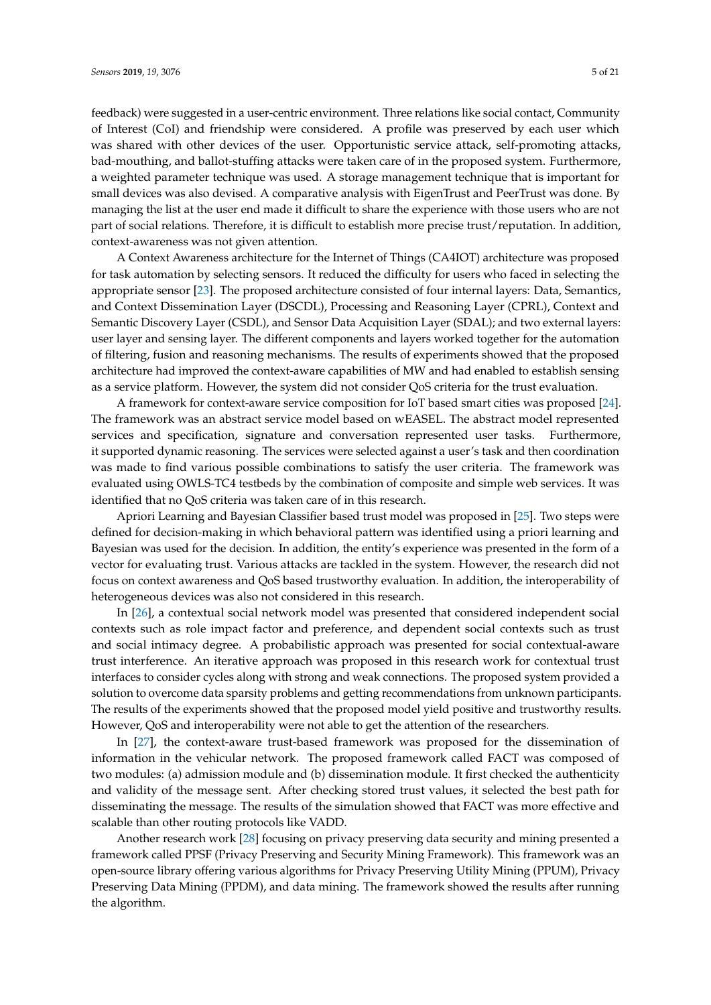feedback) were suggested in a user-centric environment. Three relations like social contact, Community of Interest (CoI) and friendship were considered. A profile was preserved by each user which was shared with other devices of the user. Opportunistic service attack, self-promoting attacks, bad-mouthing, and ballot-stuffing attacks were taken care of in the proposed system. Furthermore, a weighted parameter technique was used. A storage management technique that is important for small devices was also devised. A comparative analysis with EigenTrust and PeerTrust was done. By managing the list at the user end made it difficult to share the experience with those users who are not part of social relations. Therefore, it is difficult to establish more precise trust/reputation. In addition, context-awareness was not given attention.

A Context Awareness architecture for the Internet of Things (CA4IOT) architecture was proposed for task automation by selecting sensors. It reduced the difficulty for users who faced in selecting the appropriate sensor [\[23\]](#page-19-19). The proposed architecture consisted of four internal layers: Data, Semantics, and Context Dissemination Layer (DSCDL), Processing and Reasoning Layer (CPRL), Context and Semantic Discovery Layer (CSDL), and Sensor Data Acquisition Layer (SDAL); and two external layers: user layer and sensing layer. The different components and layers worked together for the automation of filtering, fusion and reasoning mechanisms. The results of experiments showed that the proposed architecture had improved the context-aware capabilities of MW and had enabled to establish sensing as a service platform. However, the system did not consider QoS criteria for the trust evaluation.

A framework for context-aware service composition for IoT based smart cities was proposed [\[24\]](#page-19-20). The framework was an abstract service model based on wEASEL. The abstract model represented services and specification, signature and conversation represented user tasks. Furthermore, it supported dynamic reasoning. The services were selected against a user's task and then coordination was made to find various possible combinations to satisfy the user criteria. The framework was evaluated using OWLS-TC4 testbeds by the combination of composite and simple web services. It was identified that no QoS criteria was taken care of in this research.

Apriori Learning and Bayesian Classifier based trust model was proposed in [\[25\]](#page-19-21). Two steps were defined for decision-making in which behavioral pattern was identified using a priori learning and Bayesian was used for the decision. In addition, the entity's experience was presented in the form of a vector for evaluating trust. Various attacks are tackled in the system. However, the research did not focus on context awareness and QoS based trustworthy evaluation. In addition, the interoperability of heterogeneous devices was also not considered in this research.

In [\[26\]](#page-19-22), a contextual social network model was presented that considered independent social contexts such as role impact factor and preference, and dependent social contexts such as trust and social intimacy degree. A probabilistic approach was presented for social contextual-aware trust interference. An iterative approach was proposed in this research work for contextual trust interfaces to consider cycles along with strong and weak connections. The proposed system provided a solution to overcome data sparsity problems and getting recommendations from unknown participants. The results of the experiments showed that the proposed model yield positive and trustworthy results. However, QoS and interoperability were not able to get the attention of the researchers.

In [\[27\]](#page-20-0), the context-aware trust-based framework was proposed for the dissemination of information in the vehicular network. The proposed framework called FACT was composed of two modules: (a) admission module and (b) dissemination module. It first checked the authenticity and validity of the message sent. After checking stored trust values, it selected the best path for disseminating the message. The results of the simulation showed that FACT was more effective and scalable than other routing protocols like VADD.

Another research work [\[28\]](#page-20-1) focusing on privacy preserving data security and mining presented a framework called PPSF (Privacy Preserving and Security Mining Framework). This framework was an open-source library offering various algorithms for Privacy Preserving Utility Mining (PPUM), Privacy Preserving Data Mining (PPDM), and data mining. The framework showed the results after running the algorithm.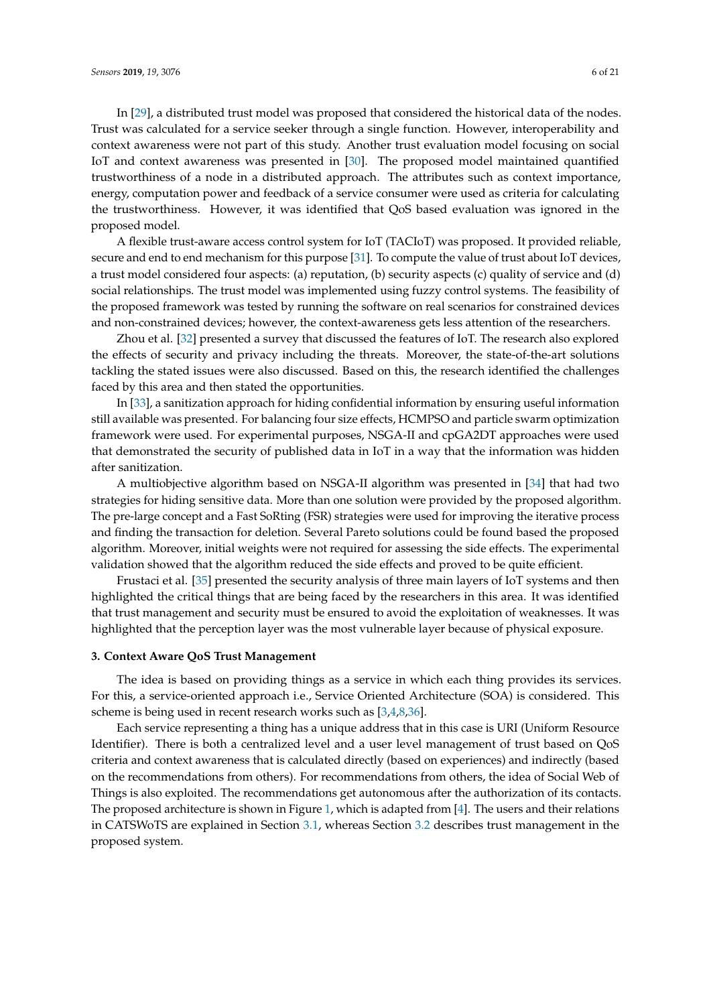In [\[29\]](#page-20-2), a distributed trust model was proposed that considered the historical data of the nodes. Trust was calculated for a service seeker through a single function. However, interoperability and context awareness were not part of this study. Another trust evaluation model focusing on social IoT and context awareness was presented in [\[30\]](#page-20-3). The proposed model maintained quantified trustworthiness of a node in a distributed approach. The attributes such as context importance, energy, computation power and feedback of a service consumer were used as criteria for calculating the trustworthiness. However, it was identified that QoS based evaluation was ignored in the proposed model.

A flexible trust-aware access control system for IoT (TACIoT) was proposed. It provided reliable, secure and end to end mechanism for this purpose [\[31\]](#page-20-4). To compute the value of trust about IoT devices, a trust model considered four aspects: (a) reputation, (b) security aspects (c) quality of service and (d) social relationships. The trust model was implemented using fuzzy control systems. The feasibility of the proposed framework was tested by running the software on real scenarios for constrained devices and non-constrained devices; however, the context-awareness gets less attention of the researchers.

Zhou et al. [\[32\]](#page-20-5) presented a survey that discussed the features of IoT. The research also explored the effects of security and privacy including the threats. Moreover, the state-of-the-art solutions tackling the stated issues were also discussed. Based on this, the research identified the challenges faced by this area and then stated the opportunities.

In [\[33\]](#page-20-6), a sanitization approach for hiding confidential information by ensuring useful information still available was presented. For balancing four size effects, HCMPSO and particle swarm optimization framework were used. For experimental purposes, NSGA-II and cpGA2DT approaches were used that demonstrated the security of published data in IoT in a way that the information was hidden after sanitization.

A multiobjective algorithm based on NSGA-II algorithm was presented in [\[34\]](#page-20-7) that had two strategies for hiding sensitive data. More than one solution were provided by the proposed algorithm. The pre-large concept and a Fast SoRting (FSR) strategies were used for improving the iterative process and finding the transaction for deletion. Several Pareto solutions could be found based the proposed algorithm. Moreover, initial weights were not required for assessing the side effects. The experimental validation showed that the algorithm reduced the side effects and proved to be quite efficient.

Frustaci et al. [\[35\]](#page-20-8) presented the security analysis of three main layers of IoT systems and then highlighted the critical things that are being faced by the researchers in this area. It was identified that trust management and security must be ensured to avoid the exploitation of weaknesses. It was highlighted that the perception layer was the most vulnerable layer because of physical exposure.

### <span id="page-5-0"></span>**3. Context Aware QoS Trust Management**

The idea is based on providing things as a service in which each thing provides its services. For this, a service-oriented approach i.e., Service Oriented Architecture (SOA) is considered. This scheme is being used in recent research works such as [\[3](#page-18-2)[,4](#page-19-0)[,8](#page-19-4)[,36\]](#page-20-9).

Each service representing a thing has a unique address that in this case is URI (Uniform Resource Identifier). There is both a centralized level and a user level management of trust based on QoS criteria and context awareness that is calculated directly (based on experiences) and indirectly (based on the recommendations from others). For recommendations from others, the idea of Social Web of Things is also exploited. The recommendations get autonomous after the authorization of its contacts. The proposed architecture is shown in Figure [1,](#page-6-0) which is adapted from [\[4\]](#page-19-0). The users and their relations in CATSWoTS are explained in Section [3.1,](#page-6-1) whereas Section [3.2](#page-7-0) describes trust management in the proposed system.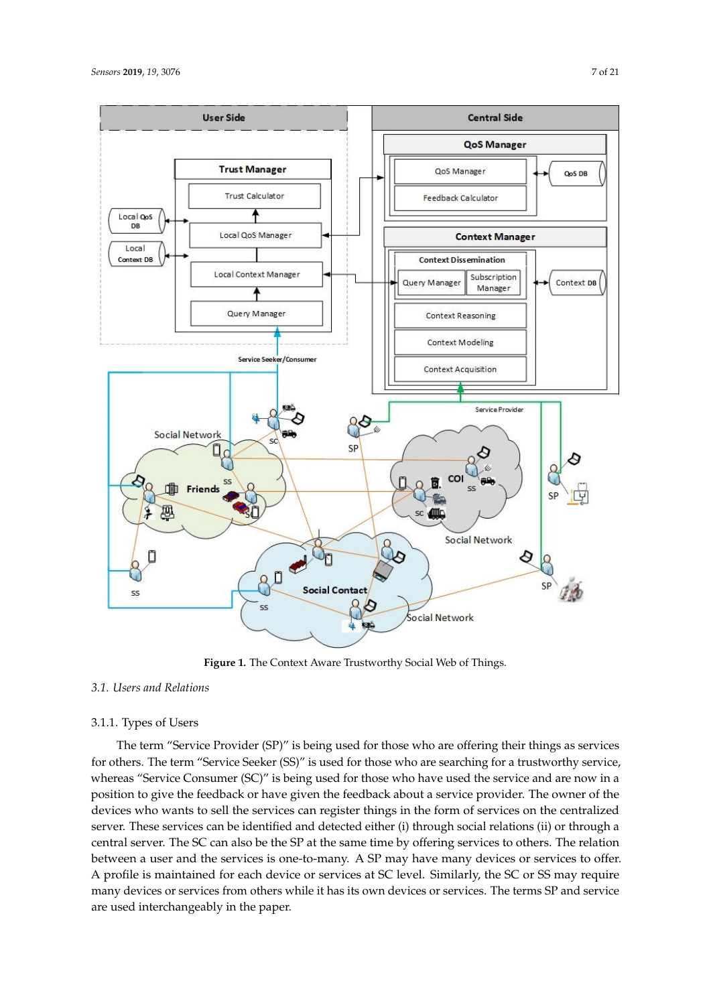<span id="page-6-0"></span>

**Figure 1.** The Context Aware Trustworthy Social Web of Things.

# <span id="page-6-1"></span>*3.1. Users and Relations*

## 3.1.1. Types of Users

The term "Service Provider (SP)" is being used for those who are offering their things as services for others. The term "Service Seeker (SS)" is used for those who are searching for a trustworthy service, whereas "Service Consumer (SC)" is being used for those who have used the service and are now in a position to give the feedback or have given the feedback about a service provider. The owner of the devices who wants to sell the services can register things in the form of services on the centralized server. These services can be identified and detected either (i) through social relations (ii) or through a central server. The SC can also be the SP at the same time by offering services to others. The relation between a user and the services is one-to-many. A SP may have many devices or services to offer. A profile is maintained for each device or services at SC level. Similarly, the SC or SS may require many devices or services from others while it has its own devices or services. The terms SP and service are used interchangeably in the paper.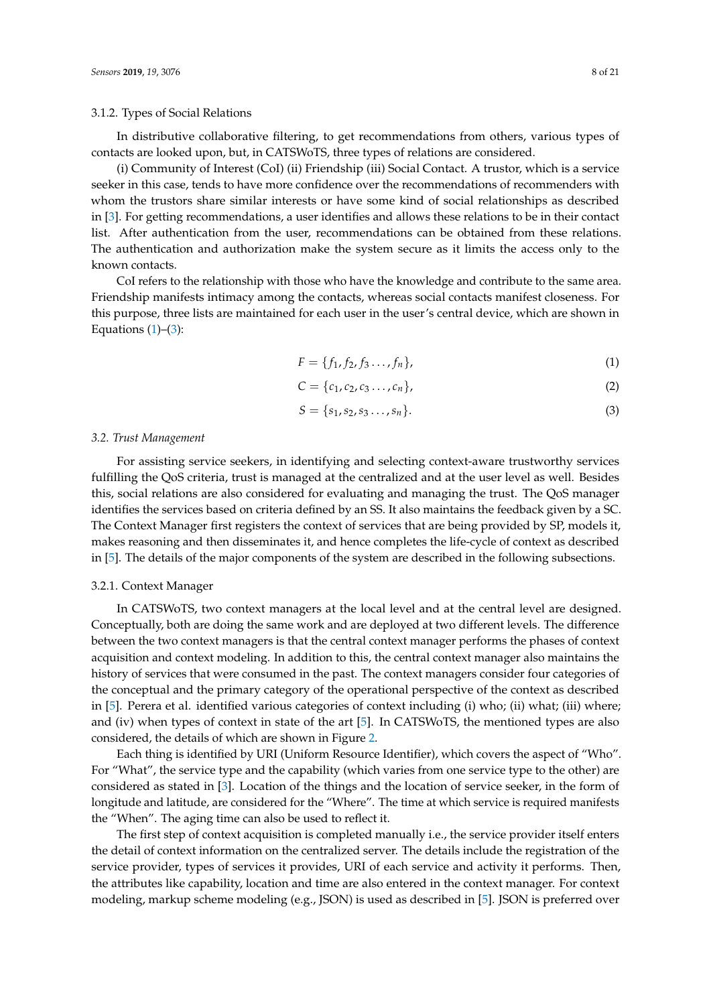### 3.1.2. Types of Social Relations

In distributive collaborative filtering, to get recommendations from others, various types of contacts are looked upon, but, in CATSWoTS, three types of relations are considered.

(i) Community of Interest (CoI) (ii) Friendship (iii) Social Contact. A trustor, which is a service seeker in this case, tends to have more confidence over the recommendations of recommenders with whom the trustors share similar interests or have some kind of social relationships as described in [\[3\]](#page-18-2). For getting recommendations, a user identifies and allows these relations to be in their contact list. After authentication from the user, recommendations can be obtained from these relations. The authentication and authorization make the system secure as it limits the access only to the known contacts.

CoI refers to the relationship with those who have the knowledge and contribute to the same area. Friendship manifests intimacy among the contacts, whereas social contacts manifest closeness. For this purpose, three lists are maintained for each user in the user's central device, which are shown in Equations  $(1)$ – $(3)$ :

<span id="page-7-1"></span>
$$
F = \{f_1, f_2, f_3, \dots, f_n\},\tag{1}
$$

$$
C = \{c_1, c_2, c_3 \dots, c_n\},\tag{2}
$$

<span id="page-7-2"></span>
$$
S = \{s_1, s_2, s_3 \dots, s_n\}.
$$
 (3)

## <span id="page-7-0"></span>*3.2. Trust Management*

For assisting service seekers, in identifying and selecting context-aware trustworthy services fulfilling the QoS criteria, trust is managed at the centralized and at the user level as well. Besides this, social relations are also considered for evaluating and managing the trust. The QoS manager identifies the services based on criteria defined by an SS. It also maintains the feedback given by a SC. The Context Manager first registers the context of services that are being provided by SP, models it, makes reasoning and then disseminates it, and hence completes the life-cycle of context as described in [\[5\]](#page-19-1). The details of the major components of the system are described in the following subsections.

#### 3.2.1. Context Manager

In CATSWoTS, two context managers at the local level and at the central level are designed. Conceptually, both are doing the same work and are deployed at two different levels. The difference between the two context managers is that the central context manager performs the phases of context acquisition and context modeling. In addition to this, the central context manager also maintains the history of services that were consumed in the past. The context managers consider four categories of the conceptual and the primary category of the operational perspective of the context as described in [\[5\]](#page-19-1). Perera et al. identified various categories of context including (i) who; (ii) what; (iii) where; and (iv) when types of context in state of the art [\[5\]](#page-19-1). In CATSWoTS, the mentioned types are also considered, the details of which are shown in Figure [2.](#page-8-0)

Each thing is identified by URI (Uniform Resource Identifier), which covers the aspect of "Who". For "What", the service type and the capability (which varies from one service type to the other) are considered as stated in [\[3\]](#page-18-2). Location of the things and the location of service seeker, in the form of longitude and latitude, are considered for the "Where". The time at which service is required manifests the "When". The aging time can also be used to reflect it.

The first step of context acquisition is completed manually i.e., the service provider itself enters the detail of context information on the centralized server. The details include the registration of the service provider, types of services it provides, URI of each service and activity it performs. Then, the attributes like capability, location and time are also entered in the context manager. For context modeling, markup scheme modeling (e.g., JSON) is used as described in [\[5\]](#page-19-1). JSON is preferred over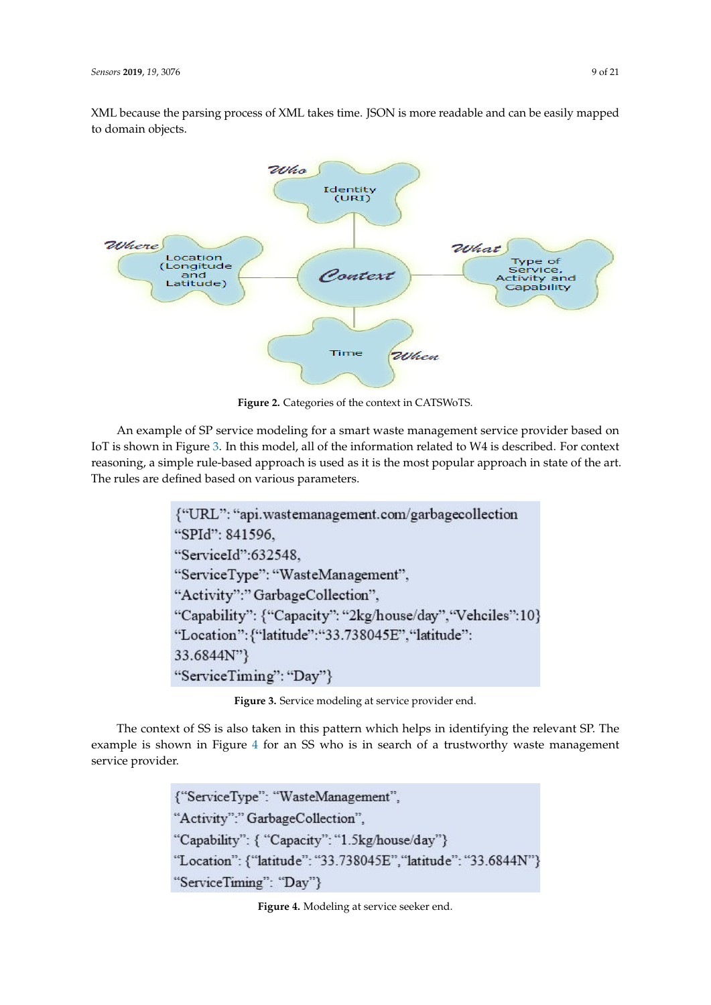XML because the parsing process of XML takes time. JSON is more readable and can be easily mapped to domain objects.

<span id="page-8-0"></span>

**Figure 2.** Categories of the context in CATSWoTS.

<span id="page-8-1"></span>An example of SP service modeling for a smart waste management service provider based on IoT is shown in Figure [3.](#page-8-1) In this model, all of the information related to W4 is described. For context reasoning, a simple rule-based approach is used as it is the most popular approach in state of the art. The rules are defined based on various parameters.

```
{"URL": "api.wastemanagement.com/garbagecollection
"SPId": 841596.
"ServiceId":632548.
"ServiceType": "WasteManagement",
"Activity":" GarbageCollection",
"Capability": {"Capacity": "2kg/house/day", "Vehciles":10}
"Location": {"latitude": "33.738045E", "latitude":
33.6844N"}
"ServiceTiming": "Day"}
```
**Figure 3.** Service modeling at service provider end.

<span id="page-8-2"></span>The context of SS is also taken in this pattern which helps in identifying the relevant SP. The example is shown in Figure [4](#page-8-2) for an SS who is in search of a trustworthy waste management service provider.

> {"ServiceType": "WasteManagement", "Activity":" GarbageCollection", "Capability": { "Capacity": "1.5kg/house/day"} "Location": {"latitude": "33.738045E", "latitude": "33.6844N"} "ServiceTiming": "Day"}

> > **Figure 4.** Modeling at service seeker end.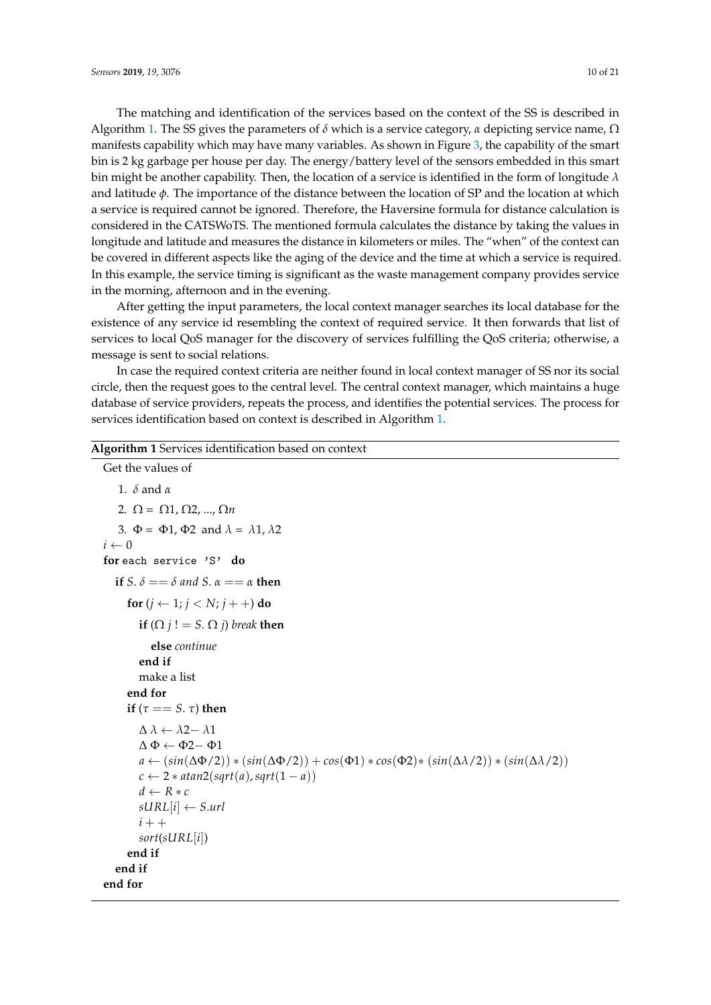The matching and identification of the services based on the context of the SS is described in Algorithm [1.](#page-9-0) The SS gives the parameters of  $\delta$  which is a service category,  $\alpha$  depicting service name,  $\Omega$ manifests capability which may have many variables. As shown in Figure [3,](#page-8-1) the capability of the smart bin is 2 kg garbage per house per day. The energy/battery level of the sensors embedded in this smart bin might be another capability. Then, the location of a service is identified in the form of longitude *λ* and latitude *φ*. The importance of the distance between the location of SP and the location at which a service is required cannot be ignored. Therefore, the Haversine formula for distance calculation is considered in the CATSWoTS. The mentioned formula calculates the distance by taking the values in longitude and latitude and measures the distance in kilometers or miles. The "when" of the context can be covered in different aspects like the aging of the device and the time at which a service is required. In this example, the service timing is significant as the waste management company provides service in the morning, afternoon and in the evening.

After getting the input parameters, the local context manager searches its local database for the existence of any service id resembling the context of required service. It then forwards that list of services to local QoS manager for the discovery of services fulfilling the QoS criteria; otherwise, a message is sent to social relations.

In case the required context criteria are neither found in local context manager of SS nor its social circle, then the request goes to the central level. The central context manager, which maintains a huge database of service providers, repeats the process, and identifies the potential services. The process for services identification based on context is described in Algorithm [1.](#page-9-0)

# <span id="page-9-0"></span>**Algorithm 1** Services identification based on context

```
Get the values of
   1. δ and α
   2. \Omega = \Omega_1, \Omega_2, ..., \Omega_n3. \Phi = \Phi_1, \Phi_2 and \lambda = \lambda_1, \lambda_2i \leftarrow 0for each service 'S' do
  if S. \delta == \delta and S. \alpha == \alpha then
     for (i \leftarrow 1; i < N; i + +) do
        if (\Omega j! = S, \Omega j) break then
           else continue
        end if
        make a list
     end for
     if (τ == S, τ) then
        ∆ λ ← λ2− λ1
        \Delta \Phi \leftarrow \Phi 2 - \Phi 1a ← (sin(∆Φ/2)) ∗ (sin(∆Φ/2)) + cos(Φ1) ∗ cos(Φ2)∗ (sin(∆λ/2)) ∗ (sin(∆λ/2))
        c \leftarrow 2 * atan2(sqrt(a), sqrt(1-a))d \leftarrow R * csURL[i] \leftarrow S.urli + +sort(sURL[i])
     end if
   end if
end for
```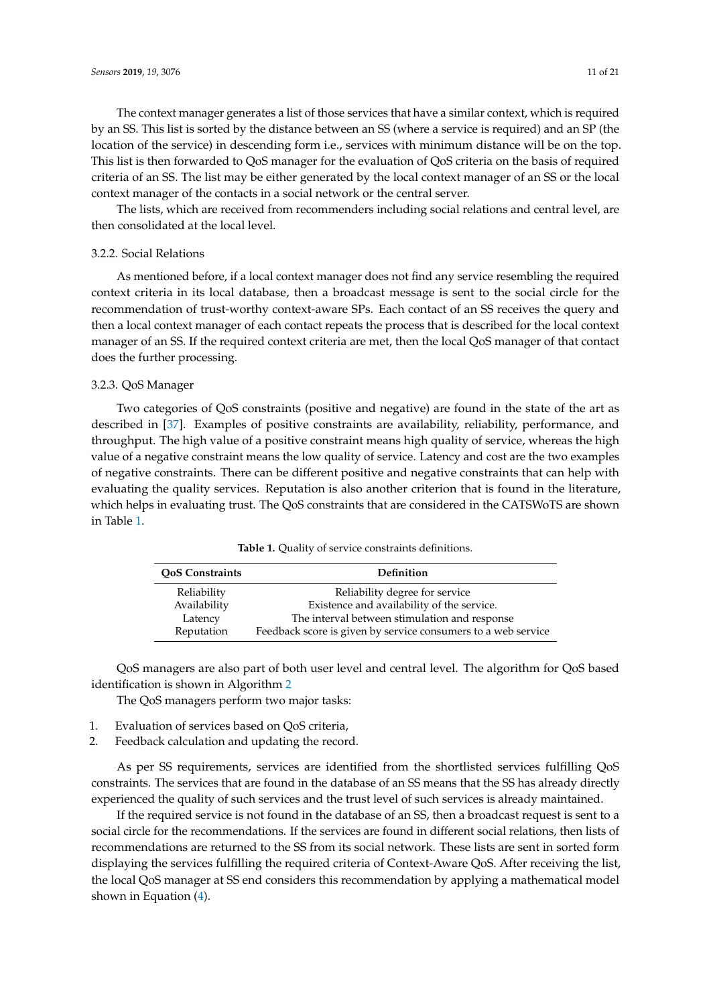The context manager generates a list of those services that have a similar context, which is required by an SS. This list is sorted by the distance between an SS (where a service is required) and an SP (the location of the service) in descending form i.e., services with minimum distance will be on the top. This list is then forwarded to QoS manager for the evaluation of QoS criteria on the basis of required criteria of an SS. The list may be either generated by the local context manager of an SS or the local context manager of the contacts in a social network or the central server.

The lists, which are received from recommenders including social relations and central level, are then consolidated at the local level.

## 3.2.2. Social Relations

As mentioned before, if a local context manager does not find any service resembling the required context criteria in its local database, then a broadcast message is sent to the social circle for the recommendation of trust-worthy context-aware SPs. Each contact of an SS receives the query and then a local context manager of each contact repeats the process that is described for the local context manager of an SS. If the required context criteria are met, then the local QoS manager of that contact does the further processing.

## 3.2.3. QoS Manager

Two categories of QoS constraints (positive and negative) are found in the state of the art as described in [\[37\]](#page-20-10). Examples of positive constraints are availability, reliability, performance, and throughput. The high value of a positive constraint means high quality of service, whereas the high value of a negative constraint means the low quality of service. Latency and cost are the two examples of negative constraints. There can be different positive and negative constraints that can help with evaluating the quality services. Reputation is also another criterion that is found in the literature, which helps in evaluating trust. The QoS constraints that are considered in the CATSWoTS are shown in Table [1.](#page-10-0)

<span id="page-10-0"></span>

| <b>OoS</b> Constraints | Definition                                                    |
|------------------------|---------------------------------------------------------------|
| Reliability            | Reliability degree for service                                |
| Availability           | Existence and availability of the service.                    |
| Latency                | The interval between stimulation and response                 |
| Reputation             | Feedback score is given by service consumers to a web service |

**Table 1.** Quality of service constraints definitions.

QoS managers are also part of both user level and central level. The algorithm for QoS based identification is shown in Algorithm [2](#page-11-0)

The QoS managers perform two major tasks:

- 1. Evaluation of services based on QoS criteria,
- 2. Feedback calculation and updating the record.

As per SS requirements, services are identified from the shortlisted services fulfilling QoS constraints. The services that are found in the database of an SS means that the SS has already directly experienced the quality of such services and the trust level of such services is already maintained.

If the required service is not found in the database of an SS, then a broadcast request is sent to a social circle for the recommendations. If the services are found in different social relations, then lists of recommendations are returned to the SS from its social network. These lists are sent in sorted form displaying the services fulfilling the required criteria of Context-Aware QoS. After receiving the list, the local QoS manager at SS end considers this recommendation by applying a mathematical model shown in Equation [\(4\)](#page-11-1).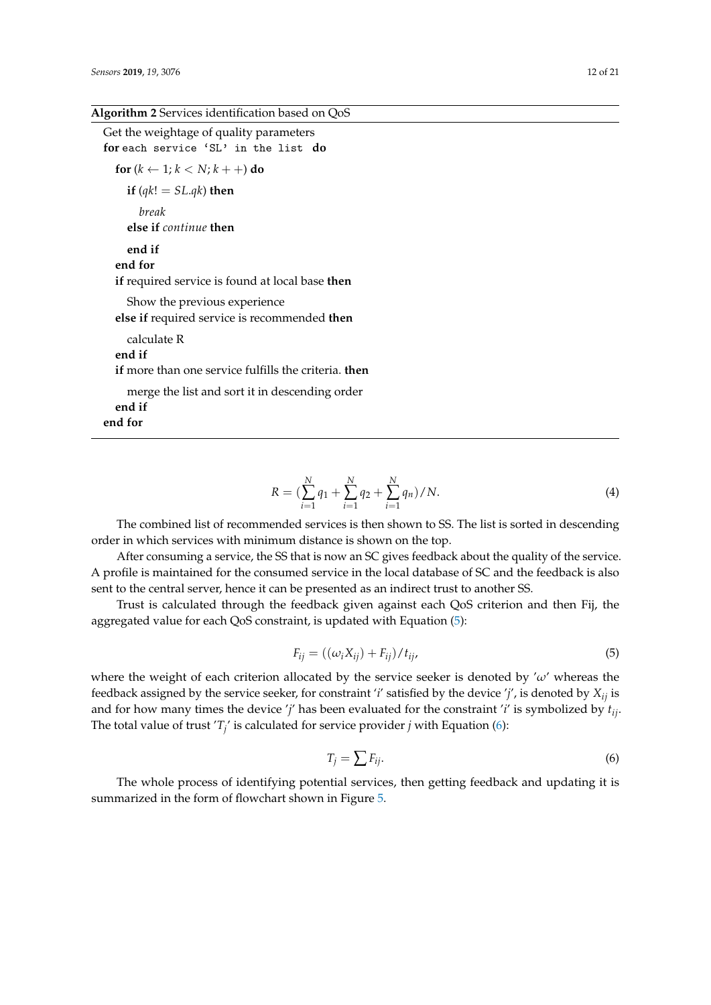## <span id="page-11-0"></span>**Algorithm 2** Services identification based on QoS

```
Get the weightage of quality parameters
for each service 'SL' in the list do
  for (k \leftarrow 1; k < N; k + +) do
    if (qk! = SL.qk) then
       break
    else if continue then
    end if
  end for
  if required service is found at local base then
    Show the previous experience
  else if required service is recommended then
    calculate R
  end if
  if more than one service fulfills the criteria. then
    merge the list and sort it in descending order
  end if
end for
```
<span id="page-11-1"></span>
$$
R = \left(\sum_{i=1}^{N} q_1 + \sum_{i=1}^{N} q_2 + \sum_{i=1}^{N} q_i\right) / N. \tag{4}
$$

The combined list of recommended services is then shown to SS. The list is sorted in descending order in which services with minimum distance is shown on the top.

After consuming a service, the SS that is now an SC gives feedback about the quality of the service. A profile is maintained for the consumed service in the local database of SC and the feedback is also sent to the central server, hence it can be presented as an indirect trust to another SS.

Trust is calculated through the feedback given against each QoS criterion and then Fij, the aggregated value for each QoS constraint, is updated with Equation [\(5\)](#page-11-2):

<span id="page-11-2"></span>
$$
F_{ij} = \left( \left( \omega_i X_{ij} \right) + F_{ij} \right) / t_{ij},\tag{5}
$$

where the weight of each criterion allocated by the service seeker is denoted by '*ω*' whereas the feedback assigned by the service seeker, for constraint '*i*' satisfied by the device '*j*', is denoted by *Xij* is and for how many times the device '*j*' has been evaluated for the constraint '*i*' is symbolized by *tij*. The total value of trust  $T_j$ ' is calculated for service provider  $j$  with Equation [\(6\)](#page-11-3):

<span id="page-11-3"></span>
$$
T_j = \sum F_{ij}.\tag{6}
$$

The whole process of identifying potential services, then getting feedback and updating it is summarized in the form of flowchart shown in Figure [5.](#page-12-1)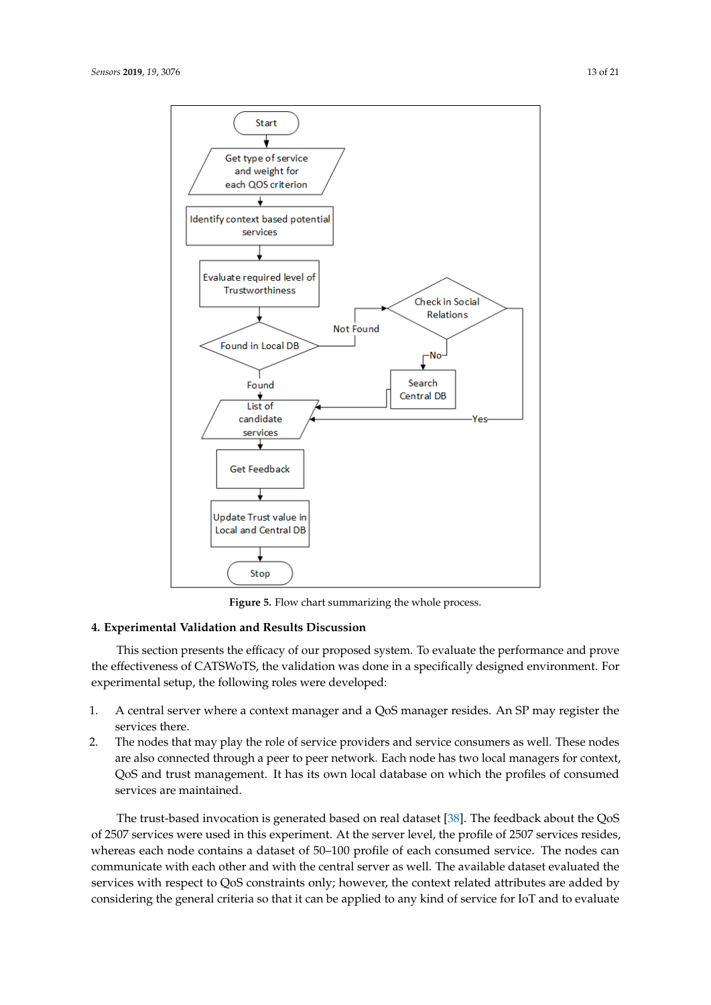<span id="page-12-1"></span>

**Figure 5.** Flow chart summarizing the whole process.

# <span id="page-12-0"></span>**4. Experimental Validation and Results Discussion**

This section presents the efficacy of our proposed system. To evaluate the performance and prove the effectiveness of CATSWoTS, the validation was done in a specifically designed environment. For experimental setup, the following roles were developed:

- 1. A central server where a context manager and a QoS manager resides. An SP may register the services there.
- 2. The nodes that may play the role of service providers and service consumers as well. These nodes are also connected through a peer to peer network. Each node has two local managers for context, QoS and trust management. It has its own local database on which the profiles of consumed services are maintained.

The trust-based invocation is generated based on real dataset [\[38\]](#page-20-11). The feedback about the QoS of 2507 services were used in this experiment. At the server level, the profile of 2507 services resides, whereas each node contains a dataset of 50–100 profile of each consumed service. The nodes can communicate with each other and with the central server as well. The available dataset evaluated the services with respect to QoS constraints only; however, the context related attributes are added by considering the general criteria so that it can be applied to any kind of service for IoT and to evaluate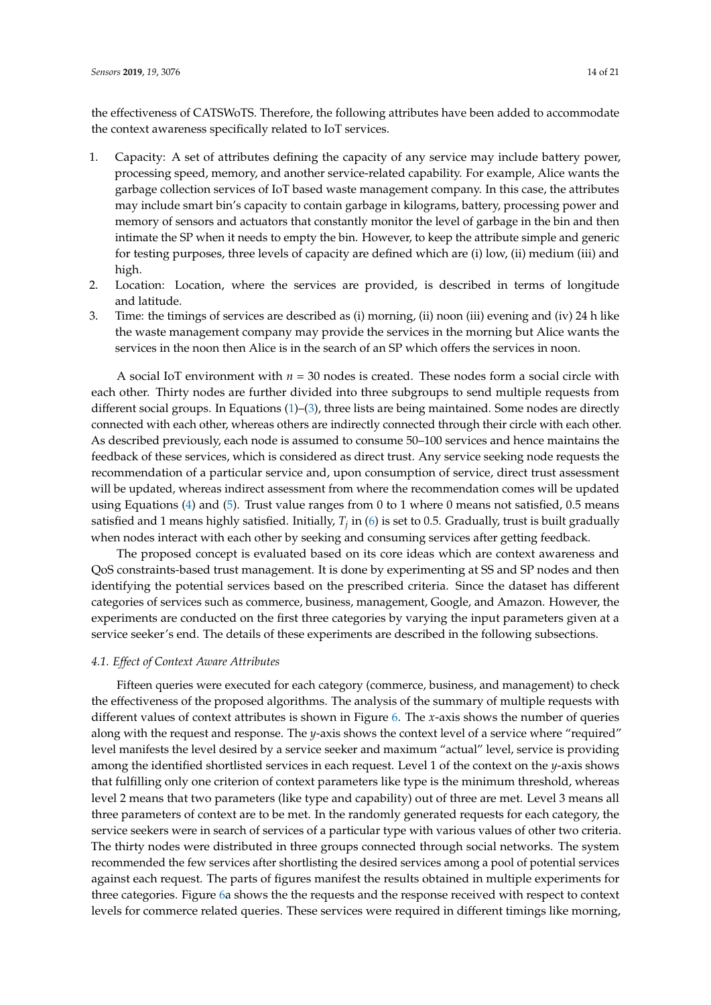the effectiveness of CATSWoTS. Therefore, the following attributes have been added to accommodate the context awareness specifically related to IoT services.

- 1. Capacity: A set of attributes defining the capacity of any service may include battery power, processing speed, memory, and another service-related capability. For example, Alice wants the garbage collection services of IoT based waste management company. In this case, the attributes may include smart bin's capacity to contain garbage in kilograms, battery, processing power and memory of sensors and actuators that constantly monitor the level of garbage in the bin and then intimate the SP when it needs to empty the bin. However, to keep the attribute simple and generic for testing purposes, three levels of capacity are defined which are (i) low, (ii) medium (iii) and high.
- 2. Location: Location, where the services are provided, is described in terms of longitude and latitude.
- 3. Time: the timings of services are described as (i) morning, (ii) noon (iii) evening and (iv) 24 h like the waste management company may provide the services in the morning but Alice wants the services in the noon then Alice is in the search of an SP which offers the services in noon.

A social IoT environment with  $n = 30$  nodes is created. These nodes form a social circle with each other. Thirty nodes are further divided into three subgroups to send multiple requests from different social groups. In Equations [\(1\)](#page-7-1)–[\(3\)](#page-7-2), three lists are being maintained. Some nodes are directly connected with each other, whereas others are indirectly connected through their circle with each other. As described previously, each node is assumed to consume 50–100 services and hence maintains the feedback of these services, which is considered as direct trust. Any service seeking node requests the recommendation of a particular service and, upon consumption of service, direct trust assessment will be updated, whereas indirect assessment from where the recommendation comes will be updated using Equations [\(4\)](#page-11-1) and [\(5\)](#page-11-2). Trust value ranges from 0 to 1 where 0 means not satisfied, 0.5 means satisfied and 1 means highly satisfied. Initially, *T<sup>j</sup>* in [\(6\)](#page-11-3) is set to 0.5. Gradually, trust is built gradually when nodes interact with each other by seeking and consuming services after getting feedback.

The proposed concept is evaluated based on its core ideas which are context awareness and QoS constraints-based trust management. It is done by experimenting at SS and SP nodes and then identifying the potential services based on the prescribed criteria. Since the dataset has different categories of services such as commerce, business, management, Google, and Amazon. However, the experiments are conducted on the first three categories by varying the input parameters given at a service seeker's end. The details of these experiments are described in the following subsections.

#### <span id="page-13-0"></span>*4.1. Effect of Context Aware Attributes*

Fifteen queries were executed for each category (commerce, business, and management) to check the effectiveness of the proposed algorithms. The analysis of the summary of multiple requests with different values of context attributes is shown in Figure [6.](#page-15-0) The *x*-axis shows the number of queries along with the request and response. The *y*-axis shows the context level of a service where "required" level manifests the level desired by a service seeker and maximum "actual" level, service is providing among the identified shortlisted services in each request. Level 1 of the context on the *y*-axis shows that fulfilling only one criterion of context parameters like type is the minimum threshold, whereas level 2 means that two parameters (like type and capability) out of three are met. Level 3 means all three parameters of context are to be met. In the randomly generated requests for each category, the service seekers were in search of services of a particular type with various values of other two criteria. The thirty nodes were distributed in three groups connected through social networks. The system recommended the few services after shortlisting the desired services among a pool of potential services against each request. The parts of figures manifest the results obtained in multiple experiments for three categories. Figure [6a](#page-15-0) shows the the requests and the response received with respect to context levels for commerce related queries. These services were required in different timings like morning,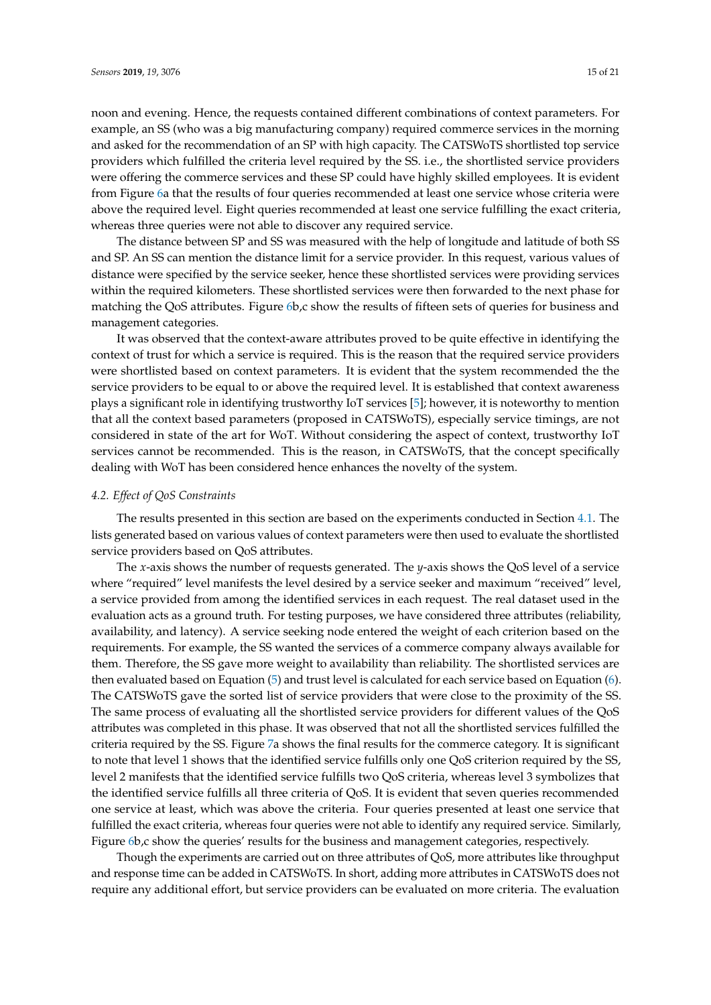noon and evening. Hence, the requests contained different combinations of context parameters. For example, an SS (who was a big manufacturing company) required commerce services in the morning and asked for the recommendation of an SP with high capacity. The CATSWoTS shortlisted top service providers which fulfilled the criteria level required by the SS. i.e., the shortlisted service providers were offering the commerce services and these SP could have highly skilled employees. It is evident from Figure [6a](#page-15-0) that the results of four queries recommended at least one service whose criteria were above the required level. Eight queries recommended at least one service fulfilling the exact criteria, whereas three queries were not able to discover any required service.

The distance between SP and SS was measured with the help of longitude and latitude of both SS and SP. An SS can mention the distance limit for a service provider. In this request, various values of distance were specified by the service seeker, hence these shortlisted services were providing services within the required kilometers. These shortlisted services were then forwarded to the next phase for matching the QoS attributes. Figure [6b](#page-15-0),c show the results of fifteen sets of queries for business and management categories.

It was observed that the context-aware attributes proved to be quite effective in identifying the context of trust for which a service is required. This is the reason that the required service providers were shortlisted based on context parameters. It is evident that the system recommended the the service providers to be equal to or above the required level. It is established that context awareness plays a significant role in identifying trustworthy IoT services [\[5\]](#page-19-1); however, it is noteworthy to mention that all the context based parameters (proposed in CATSWoTS), especially service timings, are not considered in state of the art for WoT. Without considering the aspect of context, trustworthy IoT services cannot be recommended. This is the reason, in CATSWoTS, that the concept specifically dealing with WoT has been considered hence enhances the novelty of the system.

#### *4.2. Effect of QoS Constraints*

The results presented in this section are based on the experiments conducted in Section [4.1.](#page-13-0) The lists generated based on various values of context parameters were then used to evaluate the shortlisted service providers based on QoS attributes.

The *x*-axis shows the number of requests generated. The *y*-axis shows the QoS level of a service where "required" level manifests the level desired by a service seeker and maximum "received" level, a service provided from among the identified services in each request. The real dataset used in the evaluation acts as a ground truth. For testing purposes, we have considered three attributes (reliability, availability, and latency). A service seeking node entered the weight of each criterion based on the requirements. For example, the SS wanted the services of a commerce company always available for them. Therefore, the SS gave more weight to availability than reliability. The shortlisted services are then evaluated based on Equation [\(5\)](#page-11-2) and trust level is calculated for each service based on Equation [\(6\)](#page-11-3). The CATSWoTS gave the sorted list of service providers that were close to the proximity of the SS. The same process of evaluating all the shortlisted service providers for different values of the QoS attributes was completed in this phase. It was observed that not all the shortlisted services fulfilled the criteria required by the SS. Figure [7a](#page-16-0) shows the final results for the commerce category. It is significant to note that level 1 shows that the identified service fulfills only one QoS criterion required by the SS, level 2 manifests that the identified service fulfills two QoS criteria, whereas level 3 symbolizes that the identified service fulfills all three criteria of QoS. It is evident that seven queries recommended one service at least, which was above the criteria. Four queries presented at least one service that fulfilled the exact criteria, whereas four queries were not able to identify any required service. Similarly, Figure [6b](#page-15-0),c show the queries' results for the business and management categories, respectively.

Though the experiments are carried out on three attributes of QoS, more attributes like throughput and response time can be added in CATSWoTS. In short, adding more attributes in CATSWoTS does not require any additional effort, but service providers can be evaluated on more criteria. The evaluation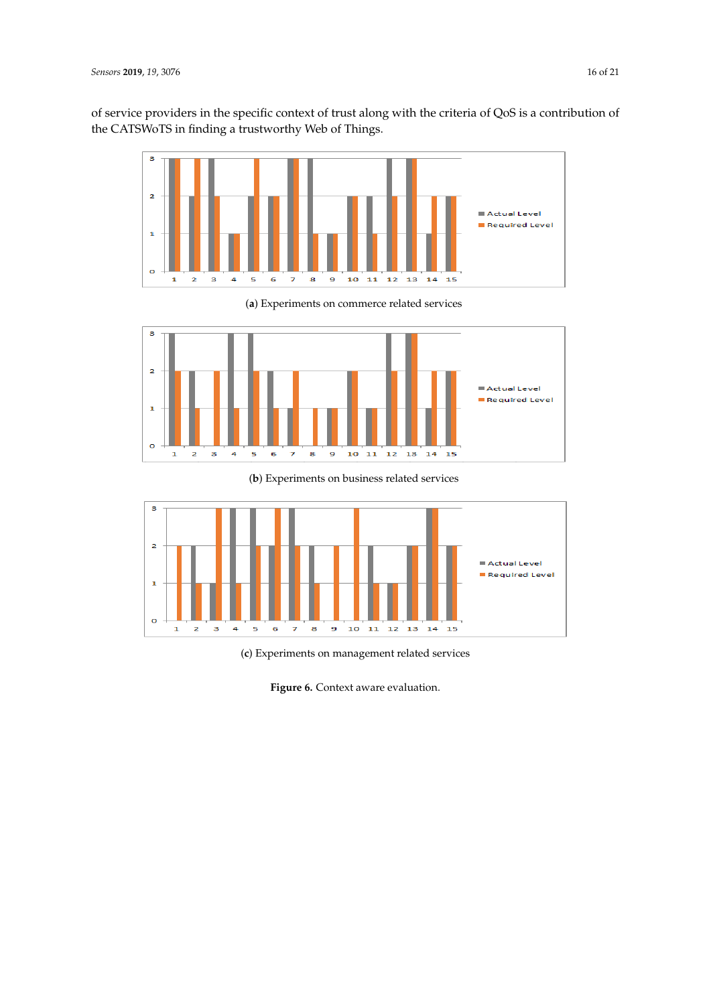<span id="page-15-0"></span>of service providers in the specific context of trust along with the criteria of QoS is a contribution of the CATSWoTS in finding a trustworthy Web of Things.



(**a**) Experiments on commerce related services



(**b**) Experiments on business related services



(**c**) Experiments on management related services

**Figure 6.** Context aware evaluation.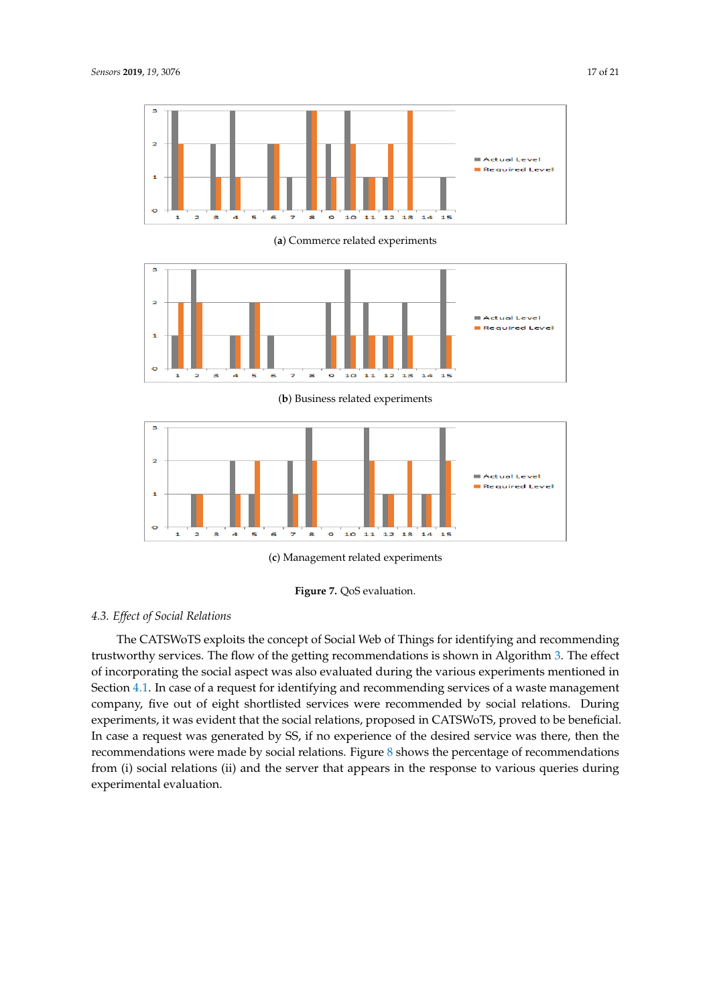<span id="page-16-0"></span>

(**a**) Commerce related experiments



(**b**) Business related experiments



(**c**) Management related experiments



## *4.3. Effect of Social Relations*

The CATSWoTS exploits the concept of Social Web of Things for identifying and recommending trustworthy services. The flow of the getting recommendations is shown in Algorithm [3.](#page-17-0) The effect of incorporating the social aspect was also evaluated during the various experiments mentioned in Section [4.1.](#page-13-0) In case of a request for identifying and recommending services of a waste management company, five out of eight shortlisted services were recommended by social relations. During experiments, it was evident that the social relations, proposed in CATSWoTS, proved to be beneficial. In case a request was generated by SS, if no experience of the desired service was there, then the recommendations were made by social relations. Figure [8](#page-17-1) shows the percentage of recommendations from (i) social relations (ii) and the server that appears in the response to various queries during experimental evaluation.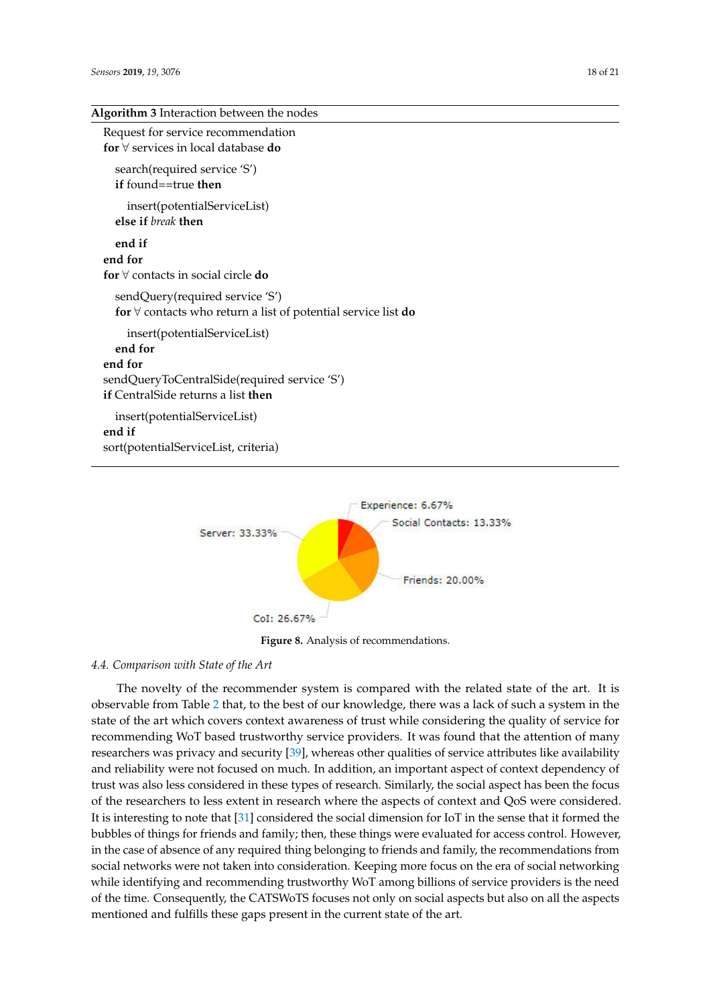<span id="page-17-0"></span>

| Algorithm 3 Interaction between the nodes                                                                                                       |
|-------------------------------------------------------------------------------------------------------------------------------------------------|
| Request for service recommendation<br>for $\forall$ services in local database do                                                               |
| search(required service 'S')<br>if found= $=$ true then                                                                                         |
| insert(potentialServiceList)<br>else if <i>break</i> then                                                                                       |
| end if<br>end for<br>for $\forall$ contacts in social circle do                                                                                 |
| sendQuery(required service 'S')<br>for $\forall$ contacts who return a list of potential service list <b>do</b>                                 |
| insert(potentialServiceList)<br>end for<br>end for<br>sendQueryToCentralSide(required service 'S')<br><b>if</b> CentralSide returns a list then |

<span id="page-17-1"></span>insert(potentialServiceList) **end if** sort(potentialServiceList, criteria)



**Figure 8.** Analysis of recommendations.

# *4.4. Comparison with State of the Art*

The novelty of the recommender system is compared with the related state of the art. It is observable from Table [2](#page-18-4) that, to the best of our knowledge, there was a lack of such a system in the state of the art which covers context awareness of trust while considering the quality of service for recommending WoT based trustworthy service providers. It was found that the attention of many researchers was privacy and security [\[39\]](#page-20-12), whereas other qualities of service attributes like availability and reliability were not focused on much. In addition, an important aspect of context dependency of trust was also less considered in these types of research. Similarly, the social aspect has been the focus of the researchers to less extent in research where the aspects of context and QoS were considered. It is interesting to note that [\[31\]](#page-20-4) considered the social dimension for IoT in the sense that it formed the bubbles of things for friends and family; then, these things were evaluated for access control. However, in the case of absence of any required thing belonging to friends and family, the recommendations from social networks were not taken into consideration. Keeping more focus on the era of social networking while identifying and recommending trustworthy WoT among billions of service providers is the need of the time. Consequently, the CATSWoTS focuses not only on social aspects but also on all the aspects mentioned and fulfills these gaps present in the current state of the art.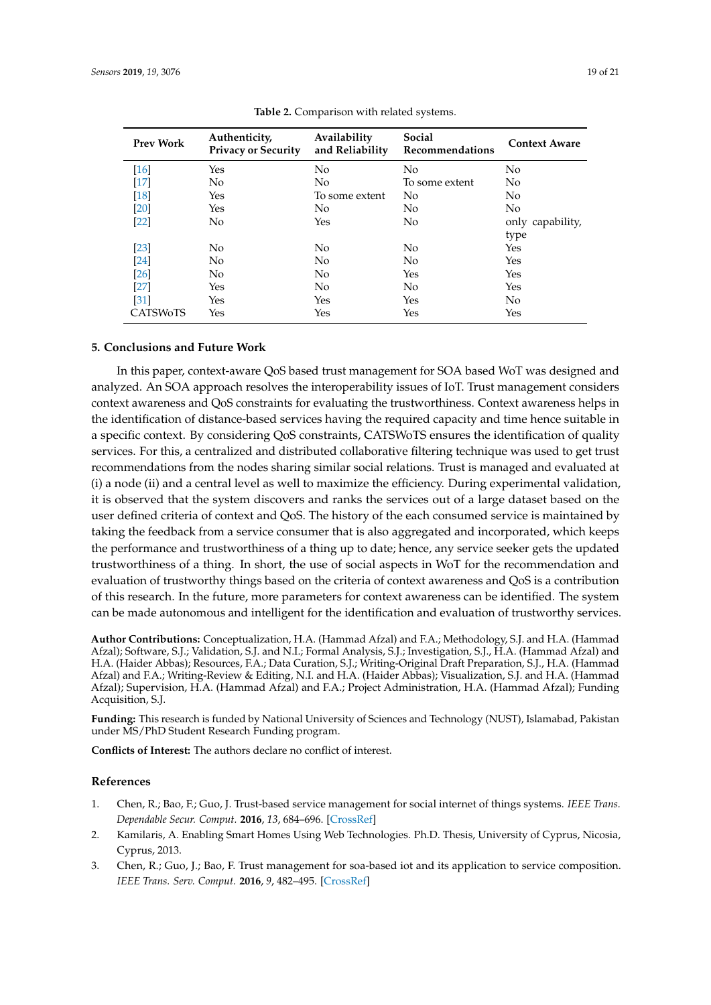<span id="page-18-4"></span>

| <b>Prev Work</b> | Authenticity,<br><b>Privacy or Security</b> | Availability<br>and Reliability | Social<br>Recommendations | <b>Context Aware</b> |
|------------------|---------------------------------------------|---------------------------------|---------------------------|----------------------|
| $[16]$           | Yes                                         | No                              | No                        | N <sub>0</sub>       |
| $[17]$           | No                                          | No                              | To some extent            | N <sub>0</sub>       |
| $[18]$           | Yes                                         | To some extent                  | No                        | N <sub>0</sub>       |
| $[20]$           | Yes                                         | No.                             | No                        | N <sub>0</sub>       |
| $[22]$           | N <sub>0</sub>                              | Yes                             | No                        | only capability,     |
|                  |                                             |                                 |                           | type                 |
| $[23]$           | N <sub>0</sub>                              | No                              | No                        | Yes                  |
| $[24]$           | N <sub>0</sub>                              | No.                             | No                        | Yes                  |
| $[26]$           | No                                          | N <sub>0</sub>                  | Yes                       | Yes                  |
| $[27]$           | Yes                                         | No.                             | No                        | Yes                  |
| [31]             | Yes                                         | Yes                             | Yes                       | N <sub>0</sub>       |
| <b>CATSWoTS</b>  | Yes                                         | Yes                             | Yes                       | Yes                  |

**Table 2.** Comparison with related systems.

## <span id="page-18-3"></span>**5. Conclusions and Future Work**

In this paper, context-aware QoS based trust management for SOA based WoT was designed and analyzed. An SOA approach resolves the interoperability issues of IoT. Trust management considers context awareness and QoS constraints for evaluating the trustworthiness. Context awareness helps in the identification of distance-based services having the required capacity and time hence suitable in a specific context. By considering QoS constraints, CATSWoTS ensures the identification of quality services. For this, a centralized and distributed collaborative filtering technique was used to get trust recommendations from the nodes sharing similar social relations. Trust is managed and evaluated at (i) a node (ii) and a central level as well to maximize the efficiency. During experimental validation, it is observed that the system discovers and ranks the services out of a large dataset based on the user defined criteria of context and QoS. The history of the each consumed service is maintained by taking the feedback from a service consumer that is also aggregated and incorporated, which keeps the performance and trustworthiness of a thing up to date; hence, any service seeker gets the updated trustworthiness of a thing. In short, the use of social aspects in WoT for the recommendation and evaluation of trustworthy things based on the criteria of context awareness and QoS is a contribution of this research. In the future, more parameters for context awareness can be identified. The system can be made autonomous and intelligent for the identification and evaluation of trustworthy services.

**Author Contributions:** Conceptualization, H.A. (Hammad Afzal) and F.A.; Methodology, S.J. and H.A. (Hammad Afzal); Software, S.J.; Validation, S.J. and N.I.; Formal Analysis, S.J.; Investigation, S.J., H.A. (Hammad Afzal) and H.A. (Haider Abbas); Resources, F.A.; Data Curation, S.J.; Writing-Original Draft Preparation, S.J., H.A. (Hammad Afzal) and F.A.; Writing-Review & Editing, N.I. and H.A. (Haider Abbas); Visualization, S.J. and H.A. (Hammad Afzal); Supervision, H.A. (Hammad Afzal) and F.A.; Project Administration, H.A. (Hammad Afzal); Funding Acquisition, S.J.

**Funding:** This research is funded by National University of Sciences and Technology (NUST), Islamabad, Pakistan under MS/PhD Student Research Funding program.

**Conflicts of Interest:** The authors declare no conflict of interest.

## **References**

- <span id="page-18-0"></span>1. Chen, R.; Bao, F.; Guo, J. Trust-based service management for social internet of things systems. *IEEE Trans. Dependable Secur. Comput.* **2016**, *13*, 684–696. [\[CrossRef\]](http://dx.doi.org/10.1109/TDSC.2015.2420552)
- <span id="page-18-1"></span>2. Kamilaris, A. Enabling Smart Homes Using Web Technologies. Ph.D. Thesis, University of Cyprus, Nicosia, Cyprus, 2013.
- <span id="page-18-2"></span>3. Chen, R.; Guo, J.; Bao, F. Trust management for soa-based iot and its application to service composition. *IEEE Trans. Serv. Comput.* **2016**, *9*, 482–495. [\[CrossRef\]](http://dx.doi.org/10.1109/TSC.2014.2365797)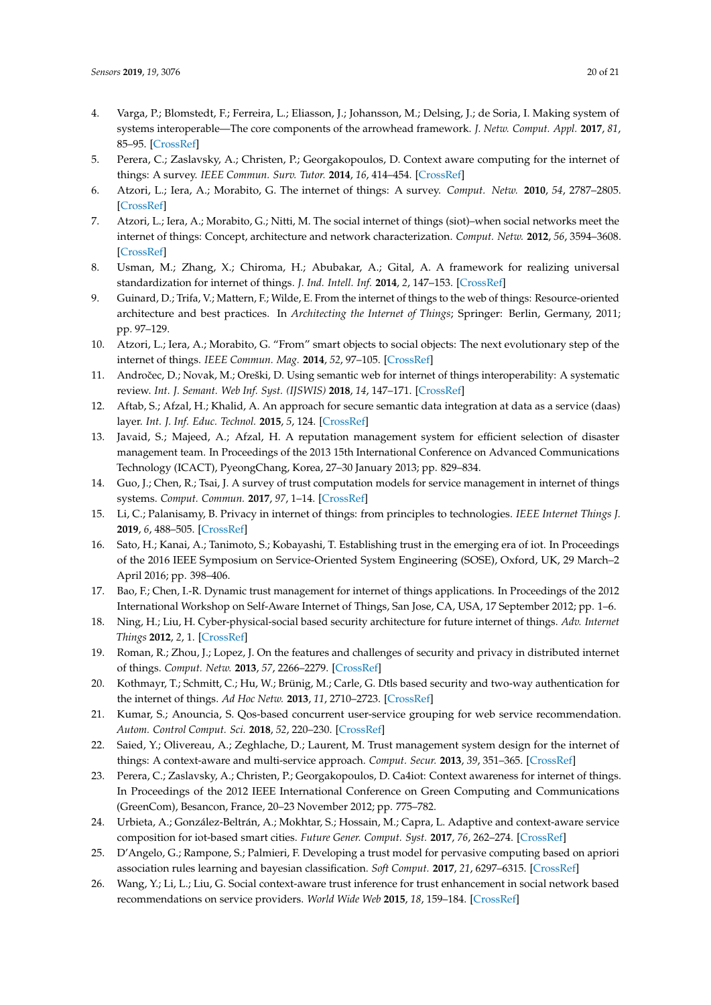- <span id="page-19-0"></span>4. Varga, P.; Blomstedt, F.; Ferreira, L.; Eliasson, J.; Johansson, M.; Delsing, J.; de Soria, I. Making system of systems interoperable—The core components of the arrowhead framework. *J. Netw. Comput. Appl.* **2017**, *81*, 85–95. [\[CrossRef\]](http://dx.doi.org/10.1016/j.jnca.2016.08.028)
- <span id="page-19-1"></span>5. Perera, C.; Zaslavsky, A.; Christen, P.; Georgakopoulos, D. Context aware computing for the internet of things: A survey. *IEEE Commun. Surv. Tutor.* **2014**, *16*, 414–454. [\[CrossRef\]](http://dx.doi.org/10.1109/SURV.2013.042313.00197)
- <span id="page-19-2"></span>6. Atzori, L.; Iera, A.; Morabito, G. The internet of things: A survey. *Comput. Netw.* **2010**, *54*, 2787–2805. [\[CrossRef\]](http://dx.doi.org/10.1016/j.comnet.2010.05.010)
- <span id="page-19-3"></span>7. Atzori, L.; Iera, A.; Morabito, G.; Nitti, M. The social internet of things (siot)–when social networks meet the internet of things: Concept, architecture and network characterization. *Comput. Netw.* **2012**, *56*, 3594–3608. [\[CrossRef\]](http://dx.doi.org/10.1016/j.comnet.2012.07.010)
- <span id="page-19-4"></span>8. Usman, M.; Zhang, X.; Chiroma, H.; Abubakar, A.; Gital, A. A framework for realizing universal standardization for internet of things. *J. Ind. Intell. Inf.* **2014**, *2*, 147–153. [\[CrossRef\]](http://dx.doi.org/10.12720/jiii.2.2.147-153)
- <span id="page-19-5"></span>9. Guinard, D.; Trifa, V.; Mattern, F.; Wilde, E. From the internet of things to the web of things: Resource-oriented architecture and best practices. In *Architecting the Internet of Things*; Springer: Berlin, Germany, 2011; pp. 97–129.
- <span id="page-19-6"></span>10. Atzori, L.; Iera, A.; Morabito, G. "From" smart objects to social objects: The next evolutionary step of the internet of things. *IEEE Commun. Mag.* **2014**, *52*, 97–105. [\[CrossRef\]](http://dx.doi.org/10.1109/MCOM.2014.6710070)
- <span id="page-19-7"></span>11. Andročec, D.; Novak, M.; Oreški, D. Using semantic web for internet of things interoperability: A systematic review. *Int. J. Semant. Web Inf. Syst. (IJSWIS)* **2018**, *14*, 147–171. [\[CrossRef\]](http://dx.doi.org/10.4018/IJSWIS.2018100108)
- <span id="page-19-8"></span>12. Aftab, S.; Afzal, H.; Khalid, A. An approach for secure semantic data integration at data as a service (daas) layer. *Int. J. Inf. Educ. Technol.* **2015**, *5*, 124. [\[CrossRef\]](http://dx.doi.org/10.7763/IJIET.2015.V5.488)
- <span id="page-19-9"></span>13. Javaid, S.; Majeed, A.; Afzal, H. A reputation management system for efficient selection of disaster management team. In Proceedings of the 2013 15th International Conference on Advanced Communications Technology (ICACT), PyeongChang, Korea, 27–30 January 2013; pp. 829–834.
- <span id="page-19-10"></span>14. Guo, J.; Chen, R.; Tsai, J. A survey of trust computation models for service management in internet of things systems. *Comput. Commun.* **2017**, *97*, 1–14. [\[CrossRef\]](http://dx.doi.org/10.1016/j.comcom.2016.10.012)
- <span id="page-19-11"></span>15. Li, C.; Palanisamy, B. Privacy in internet of things: from principles to technologies. *IEEE Internet Things J.* **2019**, *6*, 488–505. [\[CrossRef\]](http://dx.doi.org/10.1109/JIOT.2018.2864168)
- <span id="page-19-12"></span>16. Sato, H.; Kanai, A.; Tanimoto, S.; Kobayashi, T. Establishing trust in the emerging era of iot. In Proceedings of the 2016 IEEE Symposium on Service-Oriented System Engineering (SOSE), Oxford, UK, 29 March–2 April 2016; pp. 398–406.
- <span id="page-19-13"></span>17. Bao, F.; Chen, I.-R. Dynamic trust management for internet of things applications. In Proceedings of the 2012 International Workshop on Self-Aware Internet of Things, San Jose, CA, USA, 17 September 2012; pp. 1–6.
- <span id="page-19-14"></span>18. Ning, H.; Liu, H. Cyber-physical-social based security architecture for future internet of things. *Adv. Internet Things* **2012**, *2*, 1. [\[CrossRef\]](http://dx.doi.org/10.4236/ait.2012.21001)
- <span id="page-19-15"></span>19. Roman, R.; Zhou, J.; Lopez, J. On the features and challenges of security and privacy in distributed internet of things. *Comput. Netw.* **2013**, *57*, 2266–2279. [\[CrossRef\]](http://dx.doi.org/10.1016/j.comnet.2012.12.018)
- <span id="page-19-16"></span>20. Kothmayr, T.; Schmitt, C.; Hu, W.; Brünig, M.; Carle, G. Dtls based security and two-way authentication for the internet of things. *Ad Hoc Netw.* **2013**, *11*, 2710–2723. [\[CrossRef\]](http://dx.doi.org/10.1016/j.adhoc.2013.05.003)
- <span id="page-19-17"></span>21. Kumar, S.; Anouncia, S. Qos-based concurrent user-service grouping for web service recommendation. *Autom. Control Comput. Sci.* **2018**, *52*, 220–230. [\[CrossRef\]](http://dx.doi.org/10.3103/S0146411618030070)
- <span id="page-19-18"></span>22. Saied, Y.; Olivereau, A.; Zeghlache, D.; Laurent, M. Trust management system design for the internet of things: A context-aware and multi-service approach. *Comput. Secur.* **2013**, *39*, 351–365. [\[CrossRef\]](http://dx.doi.org/10.1016/j.cose.2013.09.001)
- <span id="page-19-19"></span>23. Perera, C.; Zaslavsky, A.; Christen, P.; Georgakopoulos, D. Ca4iot: Context awareness for internet of things. In Proceedings of the 2012 IEEE International Conference on Green Computing and Communications (GreenCom), Besancon, France, 20–23 November 2012; pp. 775–782.
- <span id="page-19-20"></span>24. Urbieta, A.; González-Beltrán, A.; Mokhtar, S.; Hossain, M.; Capra, L. Adaptive and context-aware service composition for iot-based smart cities. *Future Gener. Comput. Syst.* **2017**, *76*, 262–274. [\[CrossRef\]](http://dx.doi.org/10.1016/j.future.2016.12.038)
- <span id="page-19-21"></span>25. D'Angelo, G.; Rampone, S.; Palmieri, F. Developing a trust model for pervasive computing based on apriori association rules learning and bayesian classification. *Soft Comput.* **2017**, *21*, 6297–6315. [\[CrossRef\]](http://dx.doi.org/10.1007/s00500-016-2183-1)
- <span id="page-19-22"></span>26. Wang, Y.; Li, L.; Liu, G. Social context-aware trust inference for trust enhancement in social network based recommendations on service providers. *World Wide Web* **2015**, *18*, 159–184. [\[CrossRef\]](http://dx.doi.org/10.1007/s11280-013-0241-5)